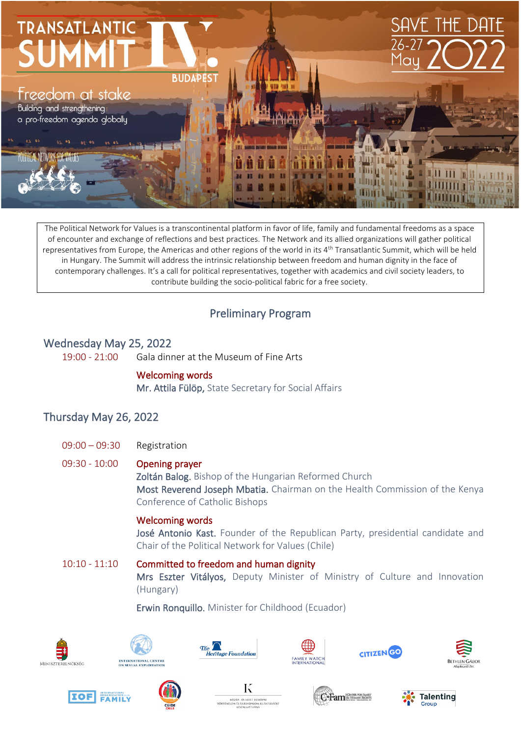

The Political Network for Values is a transcontinental platform in favor of life, family and fundamental freedoms as a space of encounter and exchange of reflections and best practices. The Network and its allied organizations will gather political representatives from Europe, the Americas and other regions of the world in its 4<sup>th</sup> Transatlantic Summit, which will be held in Hungary. The Summit will address the intrinsic relationship between freedom and human dignity in the face of contemporary challenges. It's a call for political representatives, together with academics and civil society leaders, to contribute building the socio-political fabric for a free society.

## Preliminary Program

### Wednesday May 25, 2022

19:00 - 21:00 Gala dinner at the Museum of Fine Arts

#### Welcoming words

Mr. Attila Fülöp, State Secretary for Social Affairs

## Thursday May 26, 2022

09:00 – 09:30 Registration

#### 09:30 - 10:00 Opening prayer

Zoltán Balog. Bishop of the Hungarian Reformed Church Most Reverend Joseph Mbatia. Chairman on the Health Commission of the Kenya Conference of Catholic Bishops

#### Welcoming words

José Antonio Kast. Founder of the Republican Party, presidential candidate and Chair of the Political Network for Values (Chile)

10:10 - 11:10 Committed to freedom and human dignity Mrs Eszter Vitályos, Deputy Minister of Ministry of Culture and Innovation (Hungary)

Erwin Ronquillo. Minister for Childhood (Ecuador)





















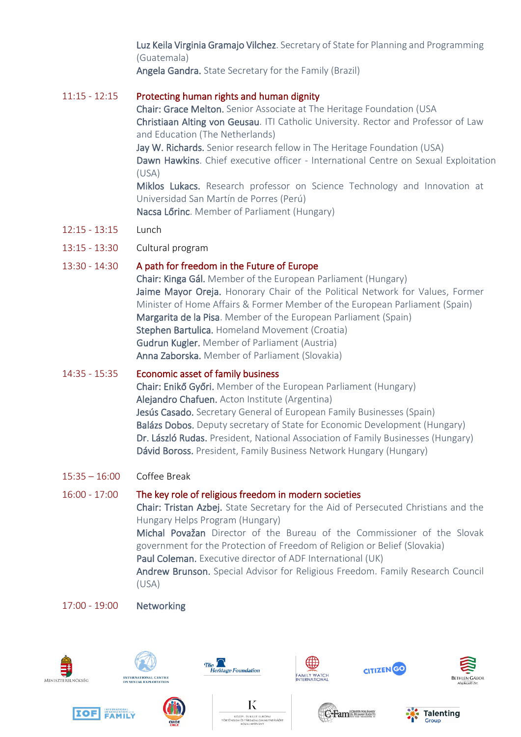Luz Keila Virginia Gramajo Vilchez. Secretary of State for Planning and Programming (Guatemala)

Angela Gandra. State Secretary for the Family (Brazil)

#### 11:15 - 12:15 Protecting human rights and human dignity

Chair: Grace Melton. Senior Associate at The Heritage Foundation (USA Christiaan Alting von Geusau. ITI Catholic University. Rector and Professor of Law and Education (The Netherlands) Jay W. Richards. Senior research fellow in The Heritage Foundation (USA) Dawn Hawkins. Chief executive officer - International Centre on Sexual Exploitation

(USA)

Miklos Lukacs. Research professor on Science Technology and Innovation at Universidad San Martín de Porres (Perú)

Nacsa Lőrinc. Member of Parliament (Hungary)

- 12:15 13:15 Lunch
- 13:15 13:30 Cultural program

## 13:30 - 14:30 A path for freedom in the Future of Europe

Chair: Kinga Gál. Member of the European Parliament (Hungary) Jaime Mayor Oreja. Honorary Chair of the Political Network for Values, Former Minister of Home Affairs & Former Member of the European Parliament (Spain) Margarita de la Pisa. Member of the European Parliament (Spain) Stephen Bartulica. Homeland Movement (Croatia) Gudrun Kugler. Member of Parliament (Austria) Anna Zaborska. Member of Parliament (Slovakia)

### 14:35 - 15:35 Economic asset of family business

Chair: Enikő Győri. Member of the European Parliament (Hungary) Alejandro Chafuen. Acton Institute (Argentina) Jesús Casado. Secretary General of European Family Businesses (Spain) Balázs Dobos. Deputy secretary of State for Economic Development (Hungary) Dr. László Rudas. President, National Association of Family Businesses (Hungary) Dávid Boross. President, Family Business Network Hungary (Hungary)

15:35 – 16:00 Coffee Break

## 16:00 - 17:00 The key role of religious freedom in modern societies

Chair: Tristan Azbej. State Secretary for the Aid of Persecuted Christians and the Hungary Helps Program (Hungary) Michal Považan Director of the Bureau of the Commissioner of the Slovak government for the Protection of Freedom of Religion or Belief (Slovakia) Paul Coleman. Executive director of ADF International (UK) Andrew Brunson. Special Advisor for Religious Freedom. Family Research Council

(USA)

## 17:00 - 19:00 Networking



















**C-Fam SHUMAN RIGHT**